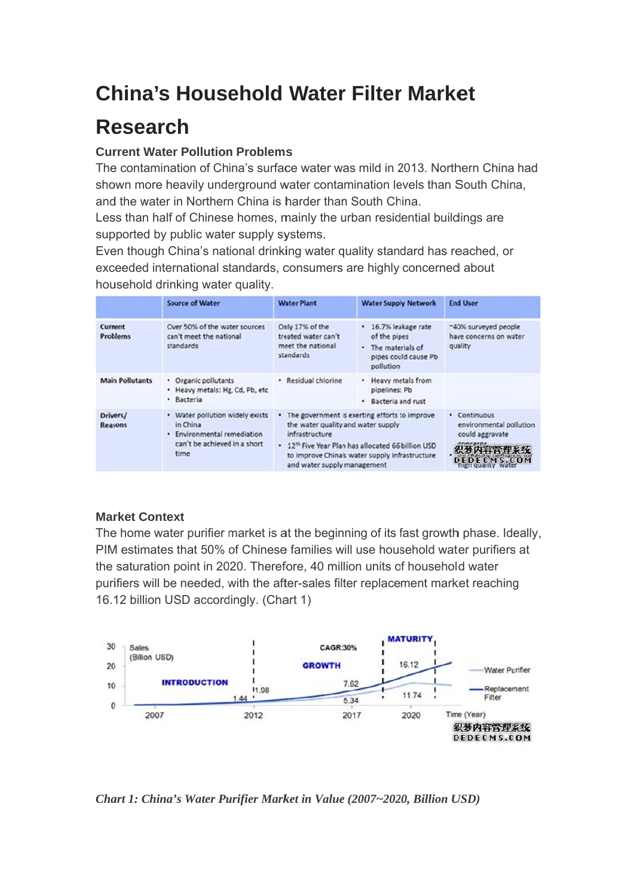# **China's Household Water Filter Market**

## **Research**

### **Current Water Pollution Problems**

The contamination of China's surface water was mild in 2013. Northern China had shown more heavily underground water contamination levels than South China. and the water in Northern China is harder than South China.

Less than half of Chinese homes, mainly the urban residential buildings are supported by public water supply systems.

Even though China's national drinking water quality standard has reached, or exceeded international standards, consumers are highly concerned about household drinking water quality.

|                            | <b>Source of Water</b>                                                                                             | <b>Water Plant</b>                                                                                                                                                                                                                                     | <b>Water Supply Network</b>                                                                   | <b>End User</b>                                           |
|----------------------------|--------------------------------------------------------------------------------------------------------------------|--------------------------------------------------------------------------------------------------------------------------------------------------------------------------------------------------------------------------------------------------------|-----------------------------------------------------------------------------------------------|-----------------------------------------------------------|
| Current<br><b>Problems</b> | Over 50% of the water sources<br>can't meet the national<br>standards                                              | Only 17% of the<br>treated water can't<br>meet the national<br>standards                                                                                                                                                                               | · 16.7% leakage rate<br>of the pipes<br>The materials of<br>pipes could cause Pb<br>pollution | ~40% surveyed people<br>have concerns on water<br>quality |
| <b>Main Pollutants</b>     | • Organic pollutants<br>. Heavy metals: Hg, Cd, Pb, etc<br>· Bacteria                                              | · Residual chlorine                                                                                                                                                                                                                                    | Heavy metals from<br>pipelines: Pb<br>Bacteria and rust                                       |                                                           |
| Drivers/<br><b>Reasons</b> | • Water pollution widely exists<br>in China<br>· Environmental remediation<br>can't be achieved in a short<br>time | The government is exerting efforts to improve<br>the water quality and water supply<br>infrastructure<br>12 <sup>th</sup> Five Year Plan has allocated 66 billion USD<br>to improve China's water supply infrastructure<br>and water supply management | • Continuous<br>environmental pollution<br>could aggravate<br>织梦内容管理系统<br>DEDECMS.COM         |                                                           |

### **Market Context**

The home water purifier market is at the beginning of its fast growth phase. Ideally, PIM estimates that 50% of Chinese families will use household water purifiers at the saturation point in 2020. Therefore, 40 million units of household water purifiers will be needed, with the after-sales filter replacement market reaching 16.12 billion USD accordingly. (Chart 1)



Chart 1: China's Water Purifier Market in Value (2007~2020, Billion USD)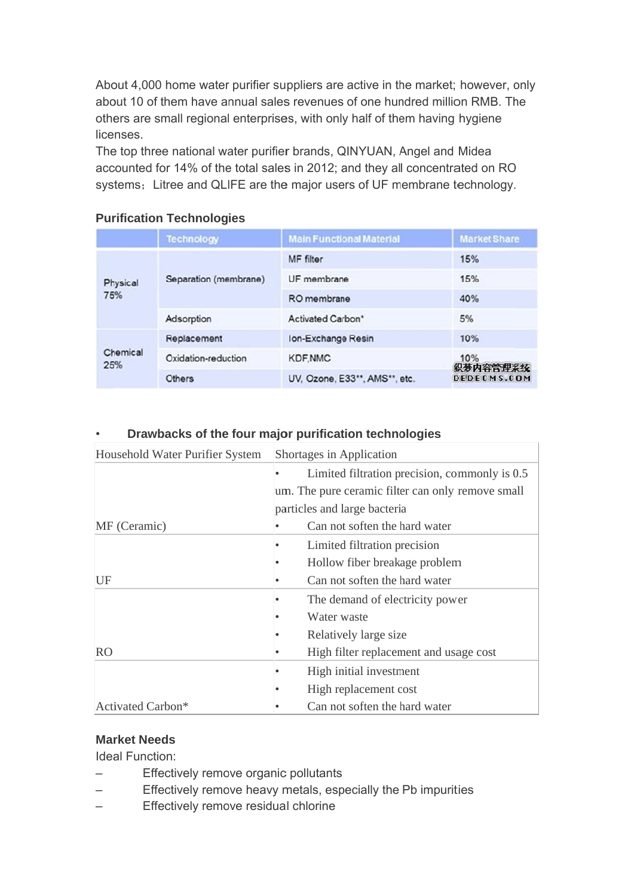About 4,000 home water purifier suppliers are active in the market; however, only about 10 of them have annual sales revenues of one hundred million RMB. The others are small regional enterprises, with only half of them having hygiene licenses.

The top three national water purifier brands, QINYUAN, Angel and Midea accounted for 14% of the total sales in 2012; and they all concentrated on RO systems; Litree and QLIFE are the major users of UF membrane technology.

|                 | <b>Technology</b>     | <b>Main Functional Material</b> | <b>Market Share</b>            |
|-----------------|-----------------------|---------------------------------|--------------------------------|
| Physical<br>75% | Separation (membrane) | <b>MF</b> filter                | 15%                            |
|                 |                       | UF membrane                     | 15%                            |
|                 |                       | RO membrane                     | 40%                            |
|                 | Adsorption            | <b>Activated Carbon*</b>        | 5%                             |
| Chemical<br>25% | Replacement           | Ion-Exchange Resin              | 10%                            |
|                 | Oxidation-reduction   | <b>KDF, NMC</b>                 | 10%<br>织梦内容管理系统<br>DEDECMS.COM |
|                 | Others                | UV, Ozone, E33**, AMS**, etc.   |                                |

## **Purification Technologies**

#### Drawbacks of the four major purification technologies

| Household Water Purifier System |                              | Shortages in Application                          |  |  |
|---------------------------------|------------------------------|---------------------------------------------------|--|--|
|                                 |                              | Limited filtration precision, commonly is 0.5     |  |  |
|                                 |                              | um. The pure ceramic filter can only remove small |  |  |
|                                 | particles and large bacteria |                                                   |  |  |
| MF (Ceramic)                    |                              | Can not soften the hard water                     |  |  |
|                                 |                              | Limited filtration precision                      |  |  |
|                                 |                              | Hollow fiber breakage problem                     |  |  |
| UF                              |                              | Can not soften the hard water                     |  |  |
|                                 |                              | The demand of electricity power                   |  |  |
|                                 |                              | Water waste                                       |  |  |
|                                 |                              | Relatively large size                             |  |  |
| RO                              |                              | High filter replacement and usage cost            |  |  |
|                                 |                              | High initial investment                           |  |  |
|                                 |                              | High replacement cost                             |  |  |
| Activated Carbon*               |                              | Can not soften the hard water                     |  |  |

### **Market Needs**

**Ideal Function:** 

- Effectively remove organic pollutants  $\equiv$
- Effectively remove heavy metals, especially the Pb impurities L.
- Effectively remove residual chlorine  $\overline{\phantom{0}}$